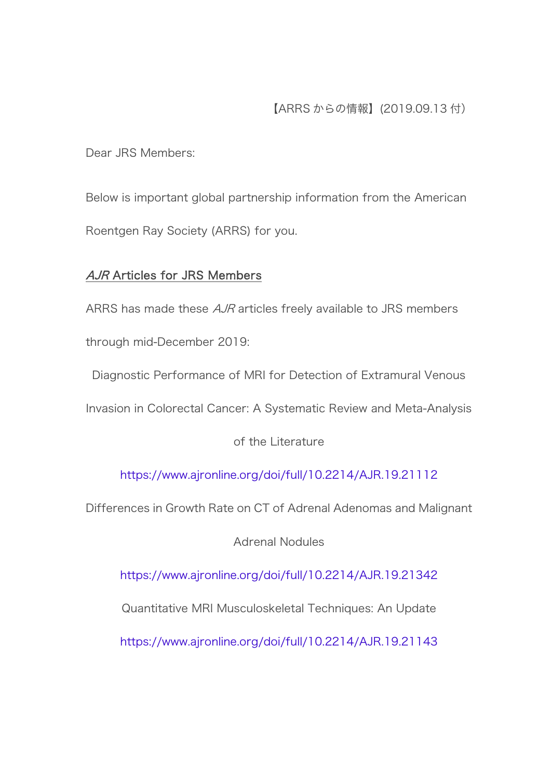Dear JRS Members:

Below is important global partnership information from the American Roentgen Ray Society (ARRS) for you.

# **AJR Articles for JRS Members**

ARRS has made these *AJR* articles freely available to JRS members through mid-December 2019:

Diagnostic Performance of MRI for Detection of Extramural Venous

Invasion in Colorectal Cancer: A Systematic Review and Meta-Analysis

of the Literature

<https://www.ajronline.org/doi/full/10.2214/AJR.19.21112>

Differences in Growth Rate on CT of Adrenal Adenomas and Malignant

Adrenal Nodules

<https://www.ajronline.org/doi/full/10.2214/AJR.19.21342>

Quantitative MRI Musculoskeletal Techniques: An Update

<https://www.ajronline.org/doi/full/10.2214/AJR.19.21143>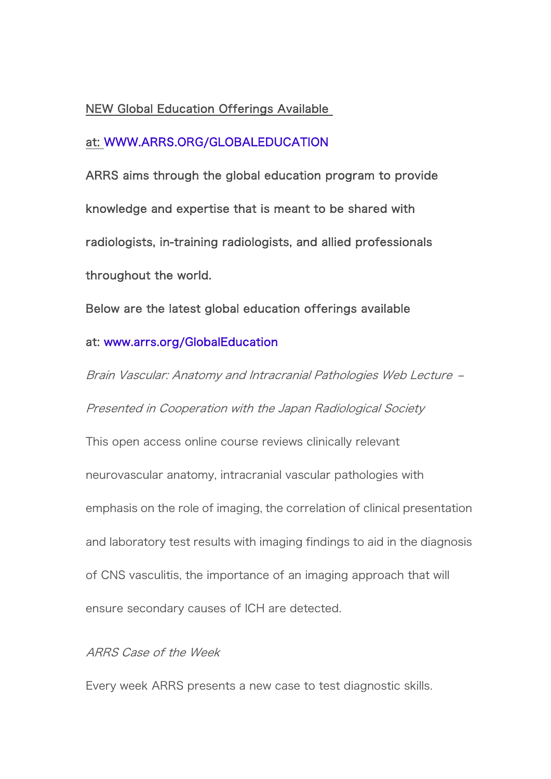## NEW Global Education Offerings Available

## at: [WWW.ARRS.ORG/GLOBALEDUCATION](https://www.arrs.org/GlobalEducation)

ARRS aims through the global education program to provide knowledge and expertise that is meant to be shared with radiologists, in-training radiologists, and allied professionals throughout the world.

Below are the latest global education offerings available

#### at: [www.arrs.org/GlobalEducation](https://www.arrs.org/GlobalEducation)

Brain Vascular: Anatomy and Intracranial Pathologies Web Lecture – Presented in Cooperation with the Japan Radiological Society This open access online course reviews clinically relevant neurovascular anatomy, intracranial vascular pathologies with emphasis on the role of imaging, the correlation of clinical presentation and laboratory test results with imaging findings to aid in the diagnosis of CNS vasculitis, the importance of an imaging approach that will ensure secondary causes of ICH are detected.

#### ARRS Case of the Week

Every week ARRS presents a new case to test diagnostic skills.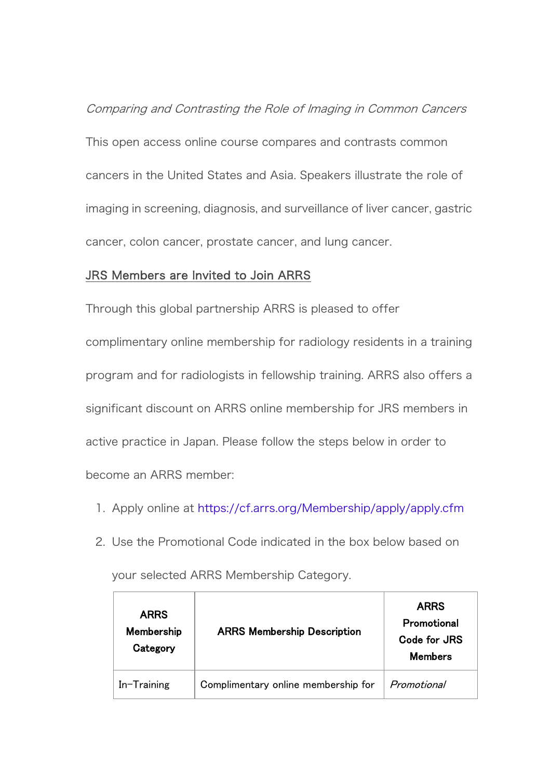Comparing and Contrasting the Role of Imaging in Common Cancers This open access online course compares and contrasts common cancers in the United States and Asia. Speakers illustrate the role of imaging in screening, diagnosis, and surveillance of liver cancer, gastric cancer, colon cancer, prostate cancer, and lung cancer.

## JRS Members are Invited to Join ARRS

Through this global partnership ARRS is pleased to offer complimentary online membership for radiology residents in a training program and for radiologists in fellowship training. ARRS also offers a significant discount on ARRS online membership for JRS members in active practice in Japan. Please follow the steps below in order to become an ARRS member:

- 1. Apply online at <https://cf.arrs.org/Membership/apply/apply.cfm>
- 2. Use the Promotional Code indicated in the box below based on

| <b>ARRS</b><br>Membership<br>Category | <b>ARRS Membership Description</b>  | <b>ARRS</b><br>Promotional<br>Code for JRS<br><b>Members</b> |
|---------------------------------------|-------------------------------------|--------------------------------------------------------------|
| $In-Training$                         | Complimentary online membership for | Promotional                                                  |

your selected ARRS Membership Category.